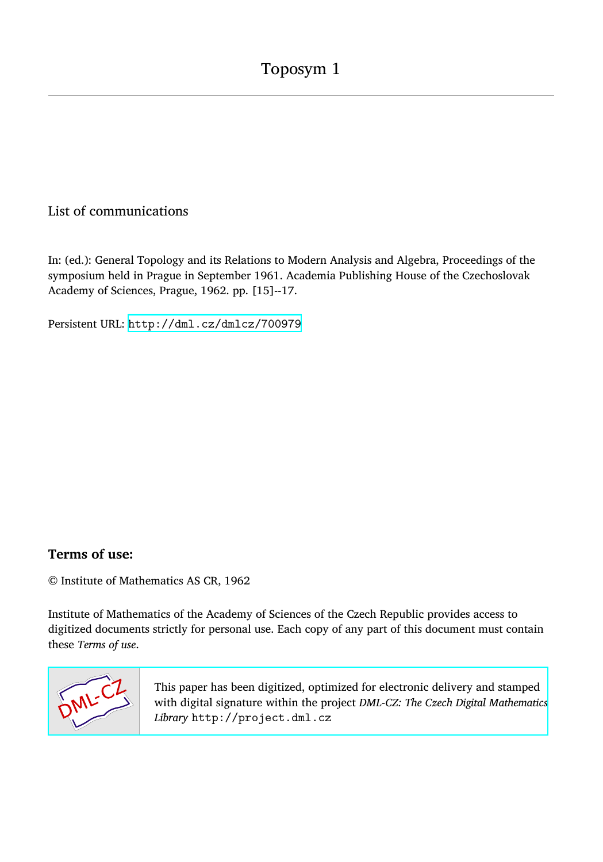## List of communications

In: (ed.): General Topology and its Relations to Modern Analysis and Algebra, Proceedings of the symposium held in Prague in September 1961. Academia Publishing House of the Czechoslovak Academy of Sciences, Prague, 1962. pp. [15]--17.

Persistent URL: <http://dml.cz/dmlcz/700979>

## **Terms of use:**

© Institute of Mathematics AS CR, 1962

Institute of Mathematics of the Academy of Sciences of the Czech Republic provides access to digitized documents strictly for personal use. Each copy of any part of this document must contain these *Terms of use*.



[This paper has been digitized, optimized for electronic delivery and stamped](http://project.dml.cz) with digital signature within the project *DML-CZ: The Czech Digital Mathematics Library* http://project.dml.cz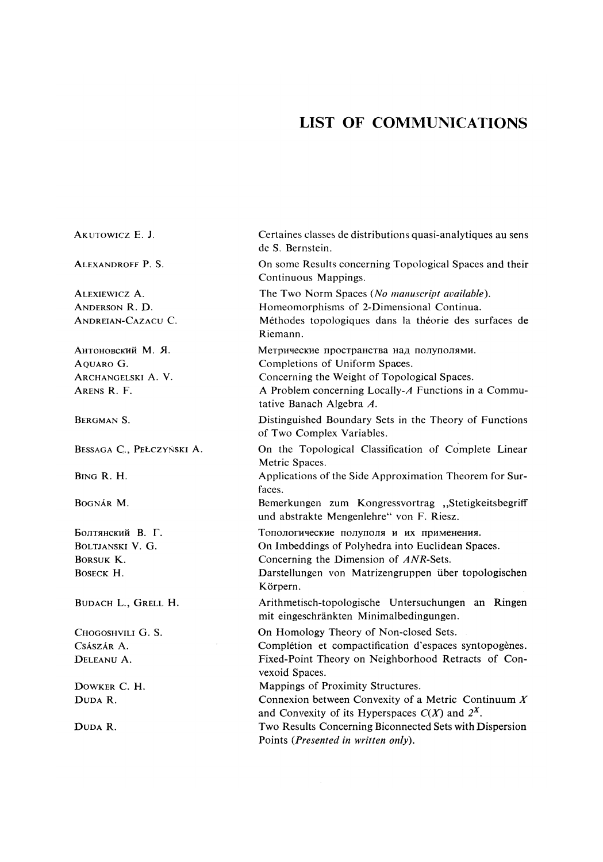## LIST OF COMMUNICATIONS

| AKUTOWICZ E. J.                                                     | Certaines classes de distributions quasi-analytiques au sens<br>de S. Bernstein.                                                                                                                               |
|---------------------------------------------------------------------|----------------------------------------------------------------------------------------------------------------------------------------------------------------------------------------------------------------|
| ALEXANDROFF P. S.                                                   | On some Results concerning Topological Spaces and their<br>Continuous Mappings.                                                                                                                                |
| ALEXIEWICZ A.<br>ANDERSON R. D.<br>ANDREIAN-CAZACU C.               | The Two Norm Spaces (No manuscript available).<br>Homeomorphisms of 2-Dimensional Continua.<br>Méthodes topologiques dans la théorie des surfaces de<br>Riemann.                                               |
| Антоновский М. Я.<br>AOUARO G.<br>ARCHANGELSKI A. V.<br>ARENS R. F. | Метрические пространства над полуполями.<br>Completions of Uniform Spaces.<br>Concerning the Weight of Topological Spaces.<br>A Problem concerning Locally-A Functions in a Commu-<br>tative Banach Algebra A. |
| BERGMAN S.                                                          | Distinguished Boundary Sets in the Theory of Functions<br>of Two Complex Variables.                                                                                                                            |
| BESSAGA C., PEŁCZYŃSKI A.                                           | On the Topological Classification of Complete Linear<br>Metric Spaces.                                                                                                                                         |
| BING R. H.                                                          | Applications of the Side Approximation Theorem for Sur-<br>faces.                                                                                                                                              |
| BOGNÁR M.                                                           | Bemerkungen zum Kongressvortrag "Stetigkeitsbegriff<br>und abstrakte Mengenlehre" von F. Riesz.                                                                                                                |
| Болтянский В. Г.                                                    | Топологические полуполя и их применения.                                                                                                                                                                       |
| BOLTJANSKI V. G.                                                    | On Imbeddings of Polyhedra into Euclidean Spaces.                                                                                                                                                              |
| BORSUK K.                                                           | Concerning the Dimension of ANR-Sets.                                                                                                                                                                          |
| BOSECK H.                                                           | Darstellungen von Matrizengruppen über topologischen<br>Körpern.                                                                                                                                               |
| BUDACH L., GRELL H.                                                 | Arithmetisch-topologische Untersuchungen an Ringen<br>mit eingeschränkten Minimalbedingungen.                                                                                                                  |
| CHOGOSHVILI G. S.                                                   | On Homology Theory of Non-closed Sets.                                                                                                                                                                         |
| CSÁSZÁR A.                                                          | Complétion et compactification d'espaces syntopogènes.                                                                                                                                                         |
| DELEANU A.                                                          | Fixed-Point Theory on Neighborhood Retracts of Con-<br>vexoid Spaces.                                                                                                                                          |
| DOWKER C. H.                                                        | Mappings of Proximity Structures.                                                                                                                                                                              |
| DUDA R.                                                             | Connexion between Convexity of a Metric Continuum $X$<br>and Convexity of its Hyperspaces $C(X)$ and $2^X$ .                                                                                                   |
| DUDA R.                                                             | Two Results Concerning Biconnected Sets with Dispersion<br>Points (Presented in written only).                                                                                                                 |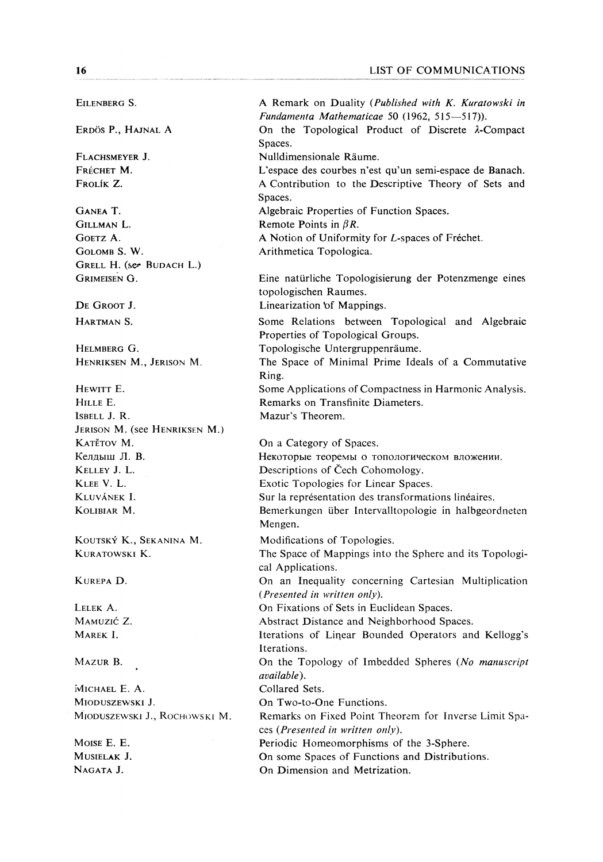EILENBERG S.

ERDÖS P., HAJNAL A

FLACHSMEYER **J**. FRÉCHET M. FROLÍK Z.

GANEA T. GlLLMAN L. GOETZ A. GOLOMB S. W. GRELL H. (ser BUDACH L.) GRIMEISEN G.

DE GROOT **J**.

HARTMAN S.

HELMBERG G. HENRIKSEN M., JERISON M.

HEWITT E. HILLE E. ISBELL J. R. JERISON M. (see HENRIKSEN M.) KATĚTOV M. Келлыш Л. В. KELLEY J. L. KLEE V. L. KLUVÁNEK I. KOLIBIAR M.

KouTSKÝ K., SEKANINA M. KURATOWSKI K.

KUREPA D.

LELEK A. MAMUZIČ Z. MAREK I.

MAZUR B.

MICHAEL E. A. MIODUSZEWSKI J. MÍODUSZEWSKI J., ROCHOWSKI M.

MOISE E. E. MUSIELAK J. NAGATA J.

A Remark on Duality *(Published with K. Kuratowski in Fundamenta Mathematicae* 50 (1962, 515—517)). On the Topological Product of Discrete A-Compact Spaces.

Nulldimensionale Raume.

L'espace des courbes n'est qu'un semi-espace de Banach. A Contribution to the Descriptive Theory of Sets and Spaces.

Algebraic Properties of Function Spaces.

Remote Points in  $\beta R$ .

A Notion of Uniformity for *L*-spaces of Frechet.

Arithmetica Topologica.

Eine natiirliche Topologisierung der Potenzmenge eines topologischen Raumes.

Linearization of Mappings.

Some Relations between Topological and Algebraic Properties of Topological Groups.

Topologische Untergruppenräume.

The Space of Minimal Prime Ideals of a Commutative Ring.

Some Applications of Compactness in Harmonic Analysis. Remarks on Transfinite Diameters. Mazur's Theorem.

On a Category of Spaces. Некоторые теоремы о топологическом вложении. Descriptions of Čech Cohomology. Exotic Topologies for Linear Spaces. Sur la représentation des transformations linéaires. Bemerkungen über Intervalltopologie in halbgeordneten Mengen. Modifications of Topologies. The Space of Mappings into the Sphere and its Topological Applications. On an Inequality concerning Cartesian Multiplication *(Presented in written only).* 

On Fixations of Sets in Euclidean Spaces.

Abstract Distance and Neighborhood Spaces.

Iterations of Linear Bounded Operators and Kellogg*,*s Iterations.

On the Topology of Imbedded Spheres (*No manuscript available).* 

Collared Sets.

On Two-to-One Functions.

Remarks on Fixed Point Theorem for Inverse Limit Spaces *(Presented in written only).* 

Periodic Homeomorphisms of the 3-Sphere.

On some Spaces of Functions and Distributions.

On Dimension and Metrization.